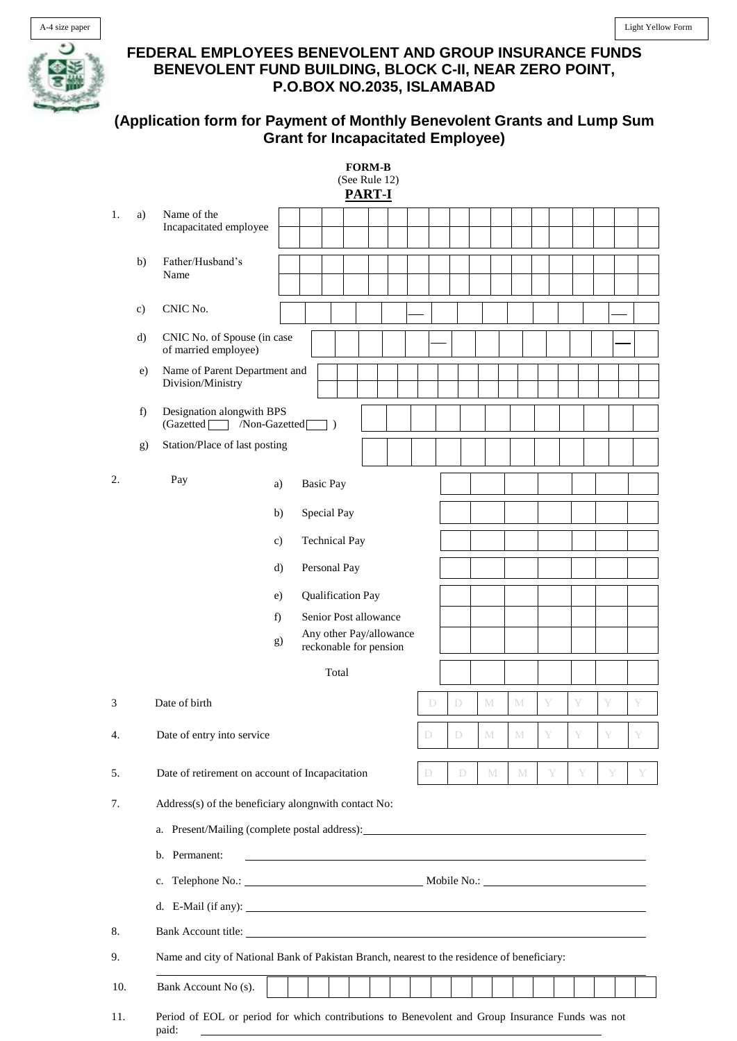



### **FEDERAL EMPLOYEES BENEVOLENT AND GROUP INSURANCE FUNDS BENEVOLENT FUND BUILDING, BLOCK C-II, NEAR ZERO POINT, P.O.BOX NO.2035, ISLAMABAD**

## **(Application form for Payment of Monthly Benevolent Grants and Lump Sum Grant for Incapacitated Employee)**

|     |                                                                                             |                                                                                                          |         |  |                                                   | (See Rule 12)<br><b>PART-I</b> | <b>FORM-B</b> |  |   |   |   |   |   |   |   |   |   |   |
|-----|---------------------------------------------------------------------------------------------|----------------------------------------------------------------------------------------------------------|---------|--|---------------------------------------------------|--------------------------------|---------------|--|---|---|---|---|---|---|---|---|---|---|
| 1.  | a)                                                                                          | Name of the                                                                                              |         |  |                                                   |                                |               |  |   |   |   |   |   |   |   |   |   |   |
|     |                                                                                             | Incapacitated employee                                                                                   |         |  |                                                   |                                |               |  |   |   |   |   |   |   |   |   |   |   |
|     | b)                                                                                          | Father/Husband's<br>Name                                                                                 |         |  |                                                   |                                |               |  |   |   |   |   |   |   |   |   |   |   |
|     | c)                                                                                          | CNIC No.                                                                                                 |         |  |                                                   |                                |               |  |   |   |   |   |   |   |   |   |   |   |
|     | $\rm d$                                                                                     | CNIC No. of Spouse (in case<br>of married employee)                                                      |         |  |                                                   |                                |               |  |   |   |   |   |   |   |   |   |   |   |
|     | e)                                                                                          | Name of Parent Department and<br>Division/Ministry                                                       |         |  |                                                   |                                |               |  |   |   |   |   |   |   |   |   |   |   |
|     | f)                                                                                          | Designation alongwith BPS<br>(Gazetted <sup>[</sup><br>/Non-Gazetted                                     |         |  | $\rightarrow$                                     |                                |               |  |   |   |   |   |   |   |   |   |   |   |
|     | g)                                                                                          | Station/Place of last posting                                                                            |         |  |                                                   |                                |               |  |   |   |   |   |   |   |   |   |   |   |
| 2.  |                                                                                             | Pay                                                                                                      | a)      |  | <b>Basic Pay</b>                                  |                                |               |  |   |   |   |   |   |   |   |   |   |   |
|     |                                                                                             |                                                                                                          | b)      |  | Special Pay                                       |                                |               |  |   |   |   |   |   |   |   |   |   |   |
|     |                                                                                             |                                                                                                          | c)      |  | <b>Technical Pay</b>                              |                                |               |  |   |   |   |   |   |   |   |   |   |   |
|     |                                                                                             |                                                                                                          | $\rm d$ |  | Personal Pay                                      |                                |               |  |   |   |   |   |   |   |   |   |   |   |
|     |                                                                                             |                                                                                                          | e)      |  | Qualification Pay                                 |                                |               |  |   |   |   |   |   |   |   |   |   |   |
|     |                                                                                             |                                                                                                          | f)      |  | Senior Post allowance                             |                                |               |  |   |   |   |   |   |   |   |   |   |   |
|     |                                                                                             |                                                                                                          | g)      |  | Any other Pay/allowance<br>reckonable for pension |                                |               |  |   |   |   |   |   |   |   |   |   |   |
|     |                                                                                             |                                                                                                          |         |  | Total                                             |                                |               |  |   |   |   |   |   |   |   |   |   |   |
| 3   |                                                                                             | Date of birth                                                                                            |         |  |                                                   |                                |               |  |   | D | D | M | M | Y | Y | Y |   | Y |
| 4.  |                                                                                             | Date of entry into service                                                                               |         |  |                                                   |                                |               |  | D |   | D | M | M | Y | Y | Y |   | Y |
| 5.  |                                                                                             | Date of retirement on account of Incapacitation                                                          |         |  |                                                   |                                |               |  | D |   | D | M | М | Ÿ | Y |   | Y | Y |
| 7.  |                                                                                             | Address(s) of the beneficiary along nwith contact No:                                                    |         |  |                                                   |                                |               |  |   |   |   |   |   |   |   |   |   |   |
|     |                                                                                             |                                                                                                          |         |  |                                                   |                                |               |  |   |   |   |   |   |   |   |   |   |   |
|     |                                                                                             | b. Permanent:                                                                                            |         |  |                                                   |                                |               |  |   |   |   |   |   |   |   |   |   |   |
|     |                                                                                             | $c_{\cdot}$                                                                                              |         |  |                                                   |                                |               |  |   |   |   |   |   |   |   |   |   |   |
|     |                                                                                             | d. E-Mail (if any): $\qquad \qquad$                                                                      |         |  |                                                   |                                |               |  |   |   |   |   |   |   |   |   |   |   |
| 8.  |                                                                                             | Bank Account title:                                                                                      |         |  |                                                   |                                |               |  |   |   |   |   |   |   |   |   |   |   |
| 9.  | Name and city of National Bank of Pakistan Branch, nearest to the residence of beneficiary: |                                                                                                          |         |  |                                                   |                                |               |  |   |   |   |   |   |   |   |   |   |   |
| 10. |                                                                                             | Bank Account No (s).                                                                                     |         |  |                                                   |                                |               |  |   |   |   |   |   |   |   |   |   |   |
| 11. |                                                                                             | Period of EOL or period for which contributions to Benevolent and Group Insurance Funds was not<br>paid: |         |  |                                                   |                                |               |  |   |   |   |   |   |   |   |   |   |   |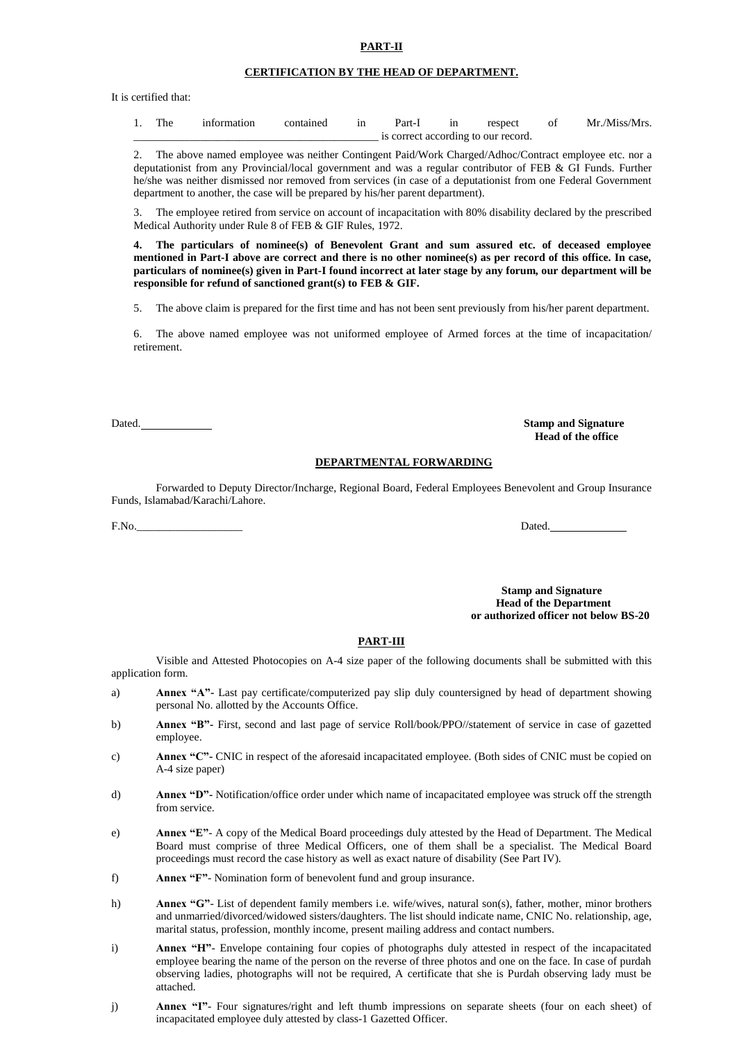### **PART-II**

### **CERTIFICATION BY THE HEAD OF DEPARTMENT.**

It is certified that:

| 1. | The | information | contained in | Part-I in | respect                             | $\overline{\text{of}}$ $\overline{\text{of}}$ | Mr./Miss/Mrs. |
|----|-----|-------------|--------------|-----------|-------------------------------------|-----------------------------------------------|---------------|
|    |     |             |              |           | is correct according to our record. |                                               |               |

2. The above named employee was neither Contingent Paid/Work Charged/Adhoc/Contract employee etc. nor a deputationist from any Provincial/local government and was a regular contributor of FEB & GI Funds. Further he/she was neither dismissed nor removed from services (in case of a deputationist from one Federal Government department to another, the case will be prepared by his/her parent department).

3. The employee retired from service on account of incapacitation with 80% disability declared by the prescribed Medical Authority under Rule 8 of FEB & GIF Rules, 1972.

**4. The particulars of nominee(s) of Benevolent Grant and sum assured etc. of deceased employee mentioned in Part-I above are correct and there is no other nominee(s) as per record of this office. In case, particulars of nominee(s) given in Part-I found incorrect at later stage by any forum, our department will be responsible for refund of sanctioned grant(s) to FEB & GIF.**

5. The above claim is prepared for the first time and has not been sent previously from his/her parent department.

6. The above named employee was not uniformed employee of Armed forces at the time of incapacitation/ retirement.

#### Dated. **Stamp and Signature Head of the office**

### **DEPARTMENTAL FORWARDING**

Forwarded to Deputy Director/Incharge, Regional Board, Federal Employees Benevolent and Group Insurance Funds, Islamabad/Karachi/Lahore.

F.No.\_\_\_\_\_\_\_\_\_\_\_\_\_\_\_\_\_\_\_ Dated.

 **Stamp and Signature Head of the Department or authorized officer not below BS-20**

### **PART-III**

Visible and Attested Photocopies on A-4 size paper of the following documents shall be submitted with this application form.

- a) **Annex "A"-** Last pay certificate/computerized pay slip duly countersigned by head of department showing personal No. allotted by the Accounts Office.
- b) **Annex "B"-** First, second and last page of service Roll/book/PPO//statement of service in case of gazetted employee.
- c) **Annex "C"-** CNIC in respect of the aforesaid incapacitated employee. (Both sides of CNIC must be copied on A-4 size paper)
- d) **Annex "D"-** Notification/office order under which name of incapacitated employee was struck off the strength from service.
- e) **Annex "E"** A copy of the Medical Board proceedings duly attested by the Head of Department. The Medical Board must comprise of three Medical Officers, one of them shall be a specialist. The Medical Board proceedings must record the case history as well as exact nature of disability (See Part IV).
- f) **Annex "F"** Nomination form of benevolent fund and group insurance.
- h) **Annex "G"** List of dependent family members i.e. wife/wives, natural son(s), father, mother, minor brothers and unmarried/divorced/widowed sisters/daughters. The list should indicate name, CNIC No. relationship, age, marital status, profession, monthly income, present mailing address and contact numbers.
- i) **Annex "H"** Envelope containing four copies of photographs duly attested in respect of the incapacitated employee bearing the name of the person on the reverse of three photos and one on the face. In case of purdah observing ladies, photographs will not be required, A certificate that she is Purdah observing lady must be attached.
- j) **Annex "I"** Four signatures/right and left thumb impressions on separate sheets (four on each sheet) of incapacitated employee duly attested by class-1 Gazetted Officer.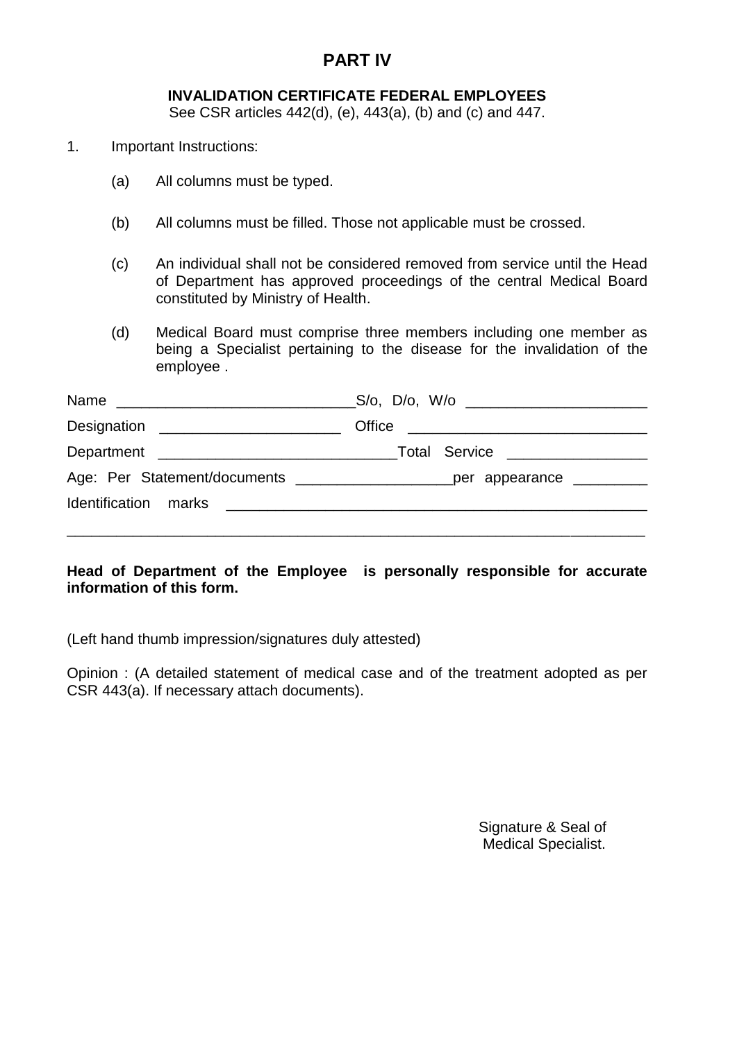# **PART IV**

## **INVALIDATION CERTIFICATE FEDERAL EMPLOYEES**

See CSR articles 442(d), (e), 443(a), (b) and (c) and 447.

- 1. Important Instructions:
	- (a) All columns must be typed.
	- (b) All columns must be filled. Those not applicable must be crossed.
	- (c) An individual shall not be considered removed from service until the Head of Department has approved proceedings of the central Medical Board constituted by Ministry of Health.
	- (d) Medical Board must comprise three members including one member as being a Specialist pertaining to the disease for the invalidation of the employee .

| Designation _________________________ | Office <u>_________________________</u>                                                     |
|---------------------------------------|---------------------------------------------------------------------------------------------|
|                                       |                                                                                             |
|                                       | Age: Per Statement/documents ___________________________________per appearance ____________ |
|                                       |                                                                                             |
|                                       |                                                                                             |

## **Head of Department of the Employee is personally responsible for accurate information of this form.**

(Left hand thumb impression/signatures duly attested)

Opinion : (A detailed statement of medical case and of the treatment adopted as per CSR 443(a). If necessary attach documents).

> Signature & Seal of Medical Specialist.